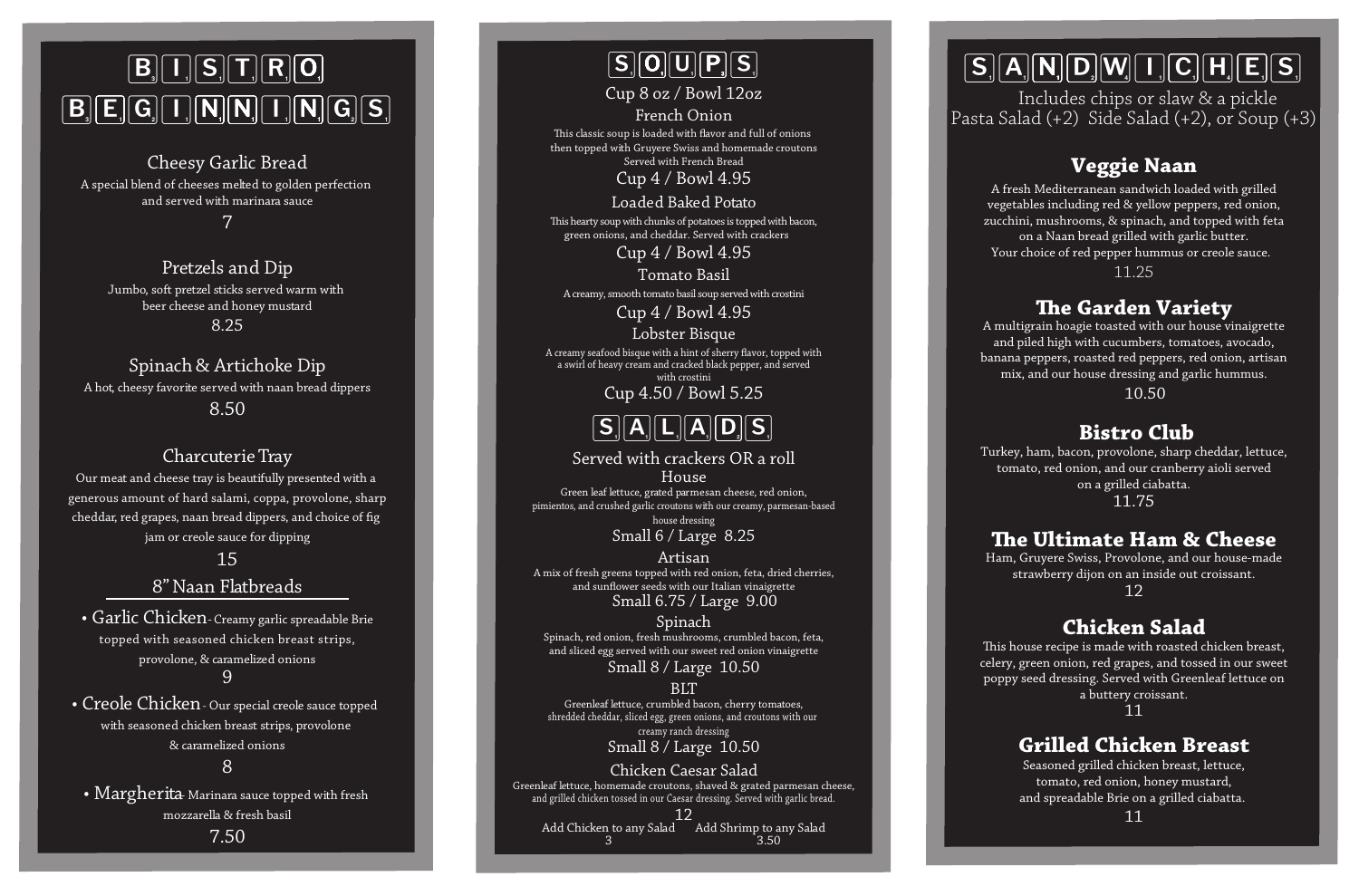# $\boxed{\mathsf{B}}\boxed{\mathsf{I}}\boxed{\mathsf{S}}\boxed{\mathsf{T}}\boxed{\mathsf{R}}\boxed{\mathsf{O}}$  $\boxed{[\mathsf{B}_{\scriptscriptstyle{0}}]\mathsf{E}_{\scriptscriptstyle{0}}]\mathsf{G}_{\scriptscriptstyle{0}}[\mathsf{I}_{\scriptscriptstyle{1}}][\mathsf{N}_{\scriptscriptstyle{1}}][\mathsf{N}_{\scriptscriptstyle{1}}][\mathsf{N}_{\scriptscriptstyle{1}}][\mathsf{G}_{\scriptscriptstyle{0}}][\mathsf{S}_{\scriptscriptstyle{1}}]}$

Cheesy Garlic Bread A special blend of cheeses melted to golden perfection and served with marinara sauce

7

Pretzels and Dip Jumbo, soft pretzel sticks served warm with beer cheese and honey mustard 8.25

Spinach & Artichoke Dip A hot, cheesy favorite served with naan bread dippers 8.50

#### CharcuterieTray

Our meat and cheese tray is beautifully presented with a generous amount of hard salami, coppa, provolone, sharp cheddar, red grapes, naan bread dippers, and choice of fig jam or creole sauce for dipping

15

#### 8"Naan Flatbreads

• Garlic Chicken - Creamy garlic spreadable Brie topped with seasoned chicken breast strips, provolone, & caramelized onions 9

• Creole Chicken- Our special creole sauce topped with seasoned chicken breast strips, provolone & caramelized onions

8

• Margherita Marinara sauce topped with fresh mozzarella & fresh basil

7.50

### $\boxed{\mathsf{S} \llbracket \mathsf{O} \rrbracket \mathsf{U} \rrbracket \mathsf{P} \rrbracket \mathsf{S} \rrbracket}$

Cup 8 oz / Bowl 12oz

French Onion This classic soup is loaded with flavor and full of onions then topped with Gruyere Swiss and homemade croutons Served with French Bread

Cup 4 / Bowl 4.95

Loaded Baked Potato This hearty soup with chunks of potatoes is topped with bacon, green onions, and cheddar. Served with crackers

Cup 4 / Bowl 4.95

Tomato Basil

A creamy, smooth tomato basil soup served with crostini

Cup 4 / Bowl 4.95

Lobster Bisque

A creamy seafood bisque with a hint of sherry flavor, topped with<br>a swirl of heavy cream and cracked black pepper, and served with crostini



Served with crackers OR a roll House Green leaf lettuce, grated parmesan cheese, red onion, pimientos, and crushed garlic croutons with our creamy, parmesan-based house dressing

Small 6 / Large 8.25

Small 6.75 / Large 9.00 Artisan A mix of fresh greens topped with red onion, feta, dried cherries, and sunflower seeds with our Italian vinaigrette

#### Spinach

Spinach, red onion, fresh mushrooms, crumbled bacon, feta, and sliced egg served with our sweet red onion vinaigrette

Small 8 / Large 10.50

#### **BLT**

Small 8 / Large 10.50 Greenleaf lettuce, crumbled bacon, cherry tomatoes, shredded cheddar, sliced egg, green onions, and croutons with our creamy ranch dressing

Chicken Caesar Salad Greenleaf lettuce, homemade croutons, shaved & grated parmesan cheese, and grilled chicken tossed in our Caesar dressing. Served with garlic bread.

12 Add Chicken to any Salad Add Shrimp to any Salad 3  $3.50$ 

# $\boxed{\text{S}_i[\text{A}_i[\text{N}] \text{D}_i[\text{W}_i[\text{L}] \text{C}_i[\text{H}_i[\text{E}] \text{S}_i]]$

Includes chips or slaw & a pickle Pasta Salad (+2) Side Salad (+2), or Soup (+3)

#### **Veggie Naan**

A fresh Mediterranean sandwich loaded with grilled vegetables including red & yellow peppers, red onion, zucchini, mushrooms, & spinach, and topped with feta on a Naan bread grilled with garlic butter. Your choice of red pepper hummus or creole sauce.

11.25

#### **e Garden Variety**

A multigrain hoagie toasted with our house vinaigrette and piled high with cucumbers, tomatoes, avocado, banana peppers, roasted red peppers, red onion, artisan mix, and our house dressing and garlic hummus.

10.50

#### **Bistro Club**

Turkey, ham, bacon, provolone, sharp cheddar, lettuce, tomato, red onion, and our cranberry aioli served on a grilled ciabatta. 11.75

#### **e Ultimate Ham & Cheese**

Ham, Gruyere Swiss, Provolone, and our house-made strawberry dijon on an inside out croissant. 12

#### **Chicken Salad**

This house recipe is made with roasted chicken breast, celery, green onion, red grapes, and tossed in our sweet poppy seed dressing. Served with Greenleaf lettuce on a buttery croissant.

11

#### **Grilled Chicken Breast**

Seasoned grilled chicken breast, lettuce, tomato, red onion, honey mustard, and spreadable Brie on a grilled ciabatta.

11